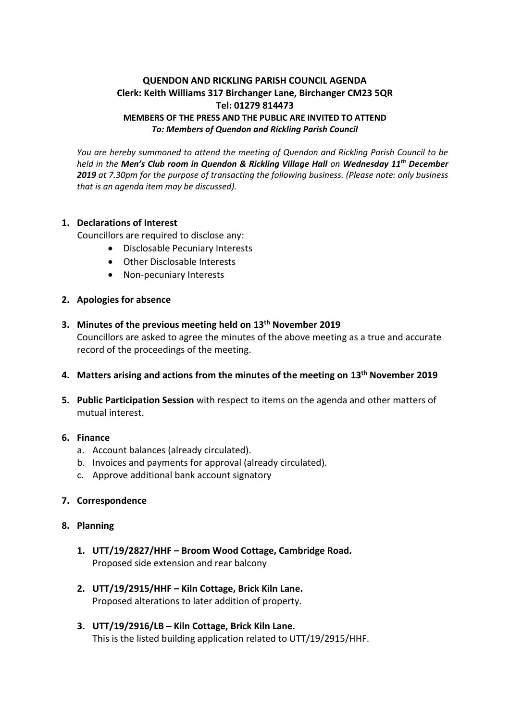# **QUENDON AND RICKLING PARISH COUNCIL AGENDA Clerk: Keith Williams 317 Birchanger Lane, Birchanger CM23 5QR Tel: 01279 814473 MEMBERS OF THE PRESS AND THE PUBLIC ARE INVITED TO ATTEND** *To: Members of Quendon and Rickling Parish Council*

*You are hereby summoned to attend the meeting of Quendon and Rickling Parish Council to be held in the Men's Club room in Quendon & Rickling Village Hall on Wednesday 11 th December 2019 at 7.30pm for the purpose of transacting the following business. (Please note: only business that is an agenda item may be discussed).*

## **1. Declarations of Interest**

Councillors are required to disclose any:

- Disclosable Pecuniary Interests
- Other Disclosable Interests
- Non-pecuniary Interests
- **2. Apologies for absence**
- **3. Minutes of the previous meeting held on 13th November 2019** Councillors are asked to agree the minutes of the above meeting as a true and accurate record of the proceedings of the meeting.
- **4. Matters arising and actions from the minutes of the meeting on 13th November 2019**
- **5. Public Participation Session** with respect to items on the agenda and other matters of mutual interest.

# **6. Finance**

- a. Account balances (already circulated).
- b. Invoices and payments for approval (already circulated).
- c. Approve additional bank account signatory
- **7. Correspondence**

#### **8. Planning**

- **1. UTT/19/2827/HHF – Broom Wood Cottage, Cambridge Road.** Proposed side extension and rear balcony
- **2. UTT/19/2915/HHF – Kiln Cottage, Brick Kiln Lane.** Proposed alterations to later addition of property.
- **3. UTT/19/2916/LB – Kiln Cottage, Brick Kiln Lane.** This is the listed building application related to UTT/19/2915/HHF.